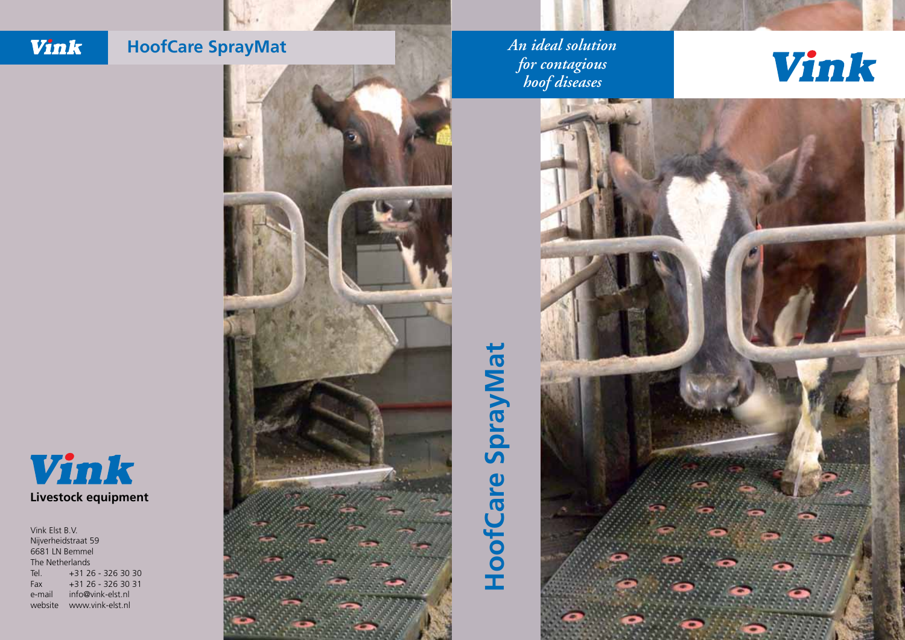#### Vink **HoofCare SprayMat**



# **HoofCare SprayMat HoofCare SprayMat**

*An ideal solution for contagious hoof diseases*

## Vink





Vink Elst B.V. Nijverheidstraat 59 6681 LN Bemmel The Netherlands Tel. +31 26 - 326 30 30 Fax +31 26 - 326 30 31 e-mail info@vink-elst.nl website www.vink-elst.nl